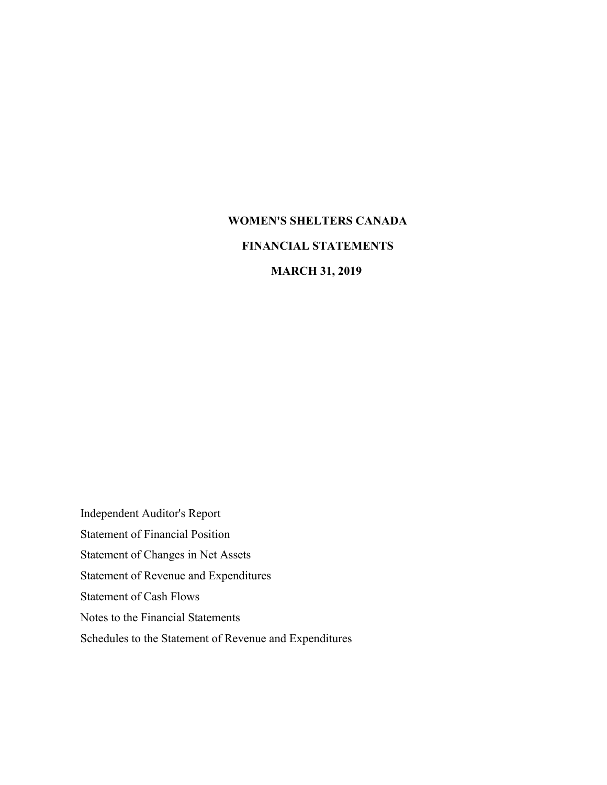# **WOMEN'S SHELTERS CANADA FINANCIAL STATEMENTS**

# **MARCH 31, 2019**

Independent Auditor's Report Statement of Financial Position Statement of Changes in Net Assets Statement of Revenue and Expenditures Statement of Cash Flows Notes to the Financial Statements Schedules to the Statement of Revenue and Expenditures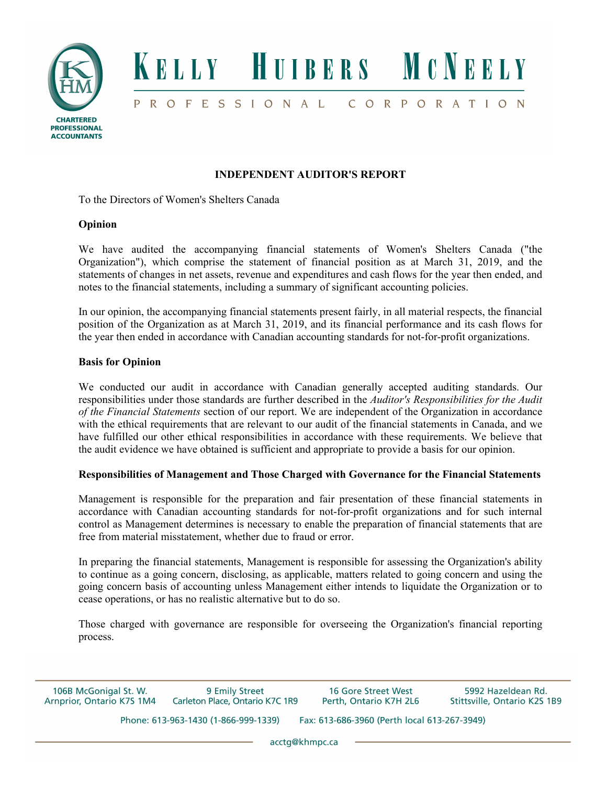

### **INDEPENDENT AUDITOR'S REPORT**

To the Directors of Women's Shelters Canada

#### **Opinion**

We have audited the accompanying financial statements of Women's Shelters Canada ("the Organization"), which comprise the statement of financial position as at March 31, 2019, and the statements of changes in net assets, revenue and expenditures and cash flows for the year then ended, and notes to the financial statements, including a summary of significant accounting policies.

In our opinion, the accompanying financial statements present fairly, in all material respects, the financial position of the Organization as at March 31, 2019, and its financial performance and its cash flows for the year then ended in accordance with Canadian accounting standards for not-for-profit organizations.

#### **Basis for Opinion**

We conducted our audit in accordance with Canadian generally accepted auditing standards. Our responsibilities under those standards are further described in the *Auditor's Responsibilities for the Audit of the Financial Statements* section of our report. We are independent of the Organization in accordance with the ethical requirements that are relevant to our audit of the financial statements in Canada, and we have fulfilled our other ethical responsibilities in accordance with these requirements. We believe that the audit evidence we have obtained is sufficient and appropriate to provide a basis for our opinion.

#### **Responsibilities of Management and Those Charged with Governance for the Financial Statements**

Management is responsible for the preparation and fair presentation of these financial statements in accordance with Canadian accounting standards for not-for-profit organizations and for such internal control as Management determines is necessary to enable the preparation of financial statements that are free from material misstatement, whether due to fraud or error.

In preparing the financial statements, Management is responsible for assessing the Organization's ability to continue as a going concern, disclosing, as applicable, matters related to going concern and using the going concern basis of accounting unless Management either intends to liquidate the Organization or to cease operations, or has no realistic alternative but to do so.

Those charged with governance are responsible for overseeing the Organization's financial reporting process.

106B McGonigal St. W. 9 Emily Street 16 Gore Street West 5992 Hazeldean Rd. Arnprior, Ontario K7S 1M4 Carleton Place, Ontario K7C 1R9 Stittsville, Ontario K2S 1B9 Perth, Ontario K7H 2L6 Phone: 613-963-1430 (1-866-999-1339) Fax: 613-686-3960 (Perth local 613-267-3949) acctg@khmpc.ca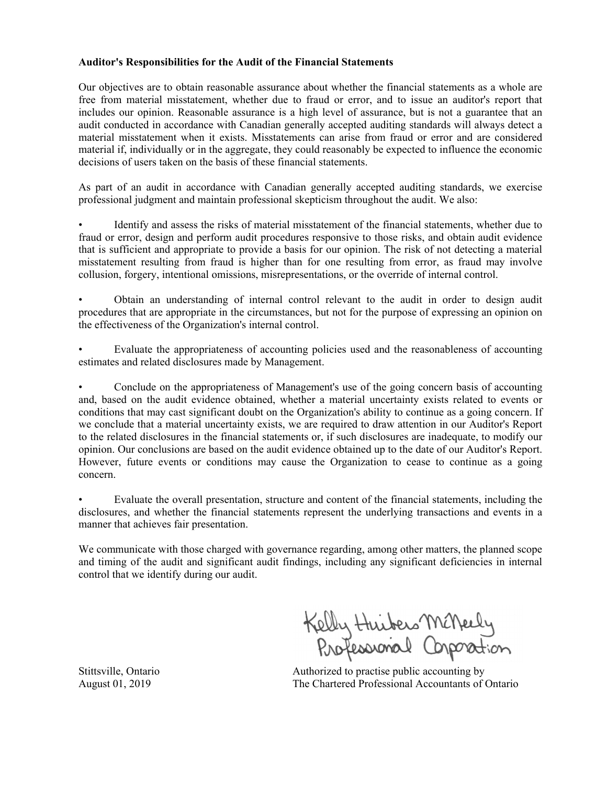#### **Auditor's Responsibilities for the Audit of the Financial Statements**

Our objectives are to obtain reasonable assurance about whether the financial statements as a whole are free from material misstatement, whether due to fraud or error, and to issue an auditor's report that includes our opinion. Reasonable assurance is a high level of assurance, but is not a guarantee that an audit conducted in accordance with Canadian generally accepted auditing standards will always detect a material misstatement when it exists. Misstatements can arise from fraud or error and are considered material if, individually or in the aggregate, they could reasonably be expected to influence the economic decisions of users taken on the basis of these financial statements.

As part of an audit in accordance with Canadian generally accepted auditing standards, we exercise professional judgment and maintain professional skepticism throughout the audit. We also:

• Identify and assess the risks of material misstatement of the financial statements, whether due to fraud or error, design and perform audit procedures responsive to those risks, and obtain audit evidence that is sufficient and appropriate to provide a basis for our opinion. The risk of not detecting a material misstatement resulting from fraud is higher than for one resulting from error, as fraud may involve collusion, forgery, intentional omissions, misrepresentations, or the override of internal control.

• Obtain an understanding of internal control relevant to the audit in order to design audit procedures that are appropriate in the circumstances, but not for the purpose of expressing an opinion on the effectiveness of the Organization's internal control.

• Evaluate the appropriateness of accounting policies used and the reasonableness of accounting estimates and related disclosures made by Management.

• Conclude on the appropriateness of Management's use of the going concern basis of accounting and, based on the audit evidence obtained, whether a material uncertainty exists related to events or conditions that may cast significant doubt on the Organization's ability to continue as a going concern. If we conclude that a material uncertainty exists, we are required to draw attention in our Auditor's Report to the related disclosures in the financial statements or, if such disclosures are inadequate, to modify our opinion. Our conclusions are based on the audit evidence obtained up to the date of our Auditor's Report. However, future events or conditions may cause the Organization to cease to continue as a going concern.

Evaluate the overall presentation, structure and content of the financial statements, including the disclosures, and whether the financial statements represent the underlying transactions and events in a manner that achieves fair presentation.

We communicate with those charged with governance regarding, among other matters, the planned scope and timing of the audit and significant audit findings, including any significant deficiencies in internal control that we identify during our audit.

Kelly Huibers McNeely<br>Professional Corporation

Stittsville, Ontario **Authorized** to practise public accounting by August 01, 2019 The Chartered Professional Accountants of Ontario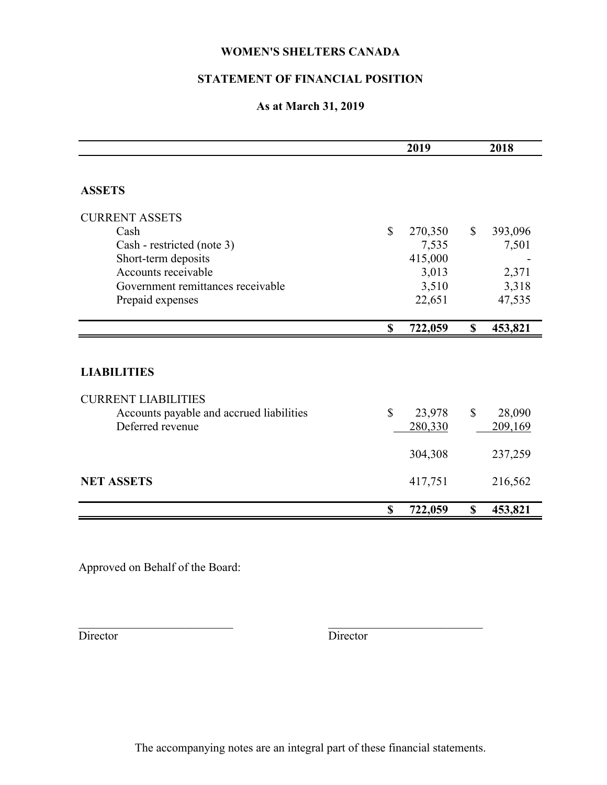# **STATEMENT OF FINANCIAL POSITION**

# **As at March 31, 2019**

|              | 2019        |                   | 2018         |
|--------------|-------------|-------------------|--------------|
|              |             |                   |              |
|              |             |                   |              |
|              |             |                   |              |
| $\mathbb{S}$ | 270,350     | $\mathbb{S}$      | 393,096      |
|              | 7,535       |                   | 7,501        |
|              | 415,000     |                   |              |
|              | 3,013       |                   | 2,371        |
|              | 3,510       |                   | 3,318        |
|              | 22,651      |                   | 47,535       |
| \$           | 722,059     | $\mathbf S$       | 453,821      |
|              |             |                   |              |
|              |             |                   |              |
|              |             |                   |              |
|              |             |                   | 28,090       |
|              | 280,330     |                   | 209,169      |
|              |             |                   |              |
|              |             |                   | 237,259      |
|              | 417,751     |                   | 216,562      |
| \$           | 722,059     | \$                | 453,821      |
|              | $\mathbf S$ | 23,978<br>304,308 | $\mathbb{S}$ |

Approved on Behalf of the Board:

Director Director

The accompanying notes are an integral part of these financial statements.

 $\mathcal{L}_\text{max}$  , and the contract of the contract of the contract of the contract of the contract of the contract of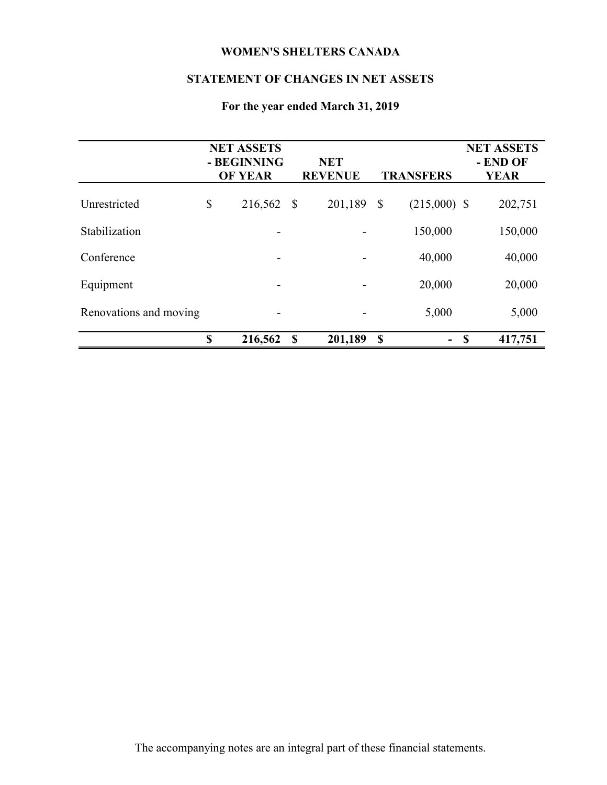# **STATEMENT OF CHANGES IN NET ASSETS**

# **For the year ended March 31, 2019**

|                        |    | <b>NET ASSETS</b><br>- BEGINNING<br><b>OF YEAR</b> |               | <b>NET</b><br><b>REVENUE</b> |                           | <b>TRANSFERS</b> |   | <b>NET ASSETS</b><br>- END OF<br><b>YEAR</b> |
|------------------------|----|----------------------------------------------------|---------------|------------------------------|---------------------------|------------------|---|----------------------------------------------|
| Unrestricted           | \$ | 216,562                                            | $\mathbb{S}$  | 201,189                      | $\boldsymbol{\mathsf{S}}$ | $(215,000)$ \$   |   | 202,751                                      |
| Stabilization          |    |                                                    |               |                              |                           | 150,000          |   | 150,000                                      |
| Conference             |    |                                                    |               |                              |                           | 40,000           |   | 40,000                                       |
| Equipment              |    |                                                    |               |                              |                           | 20,000           |   | 20,000                                       |
| Renovations and moving |    |                                                    |               |                              |                           | 5,000            |   | 5,000                                        |
|                        | S  | 216,562                                            | <sup>\$</sup> | 201,189                      | \$                        |                  | S | 417,751                                      |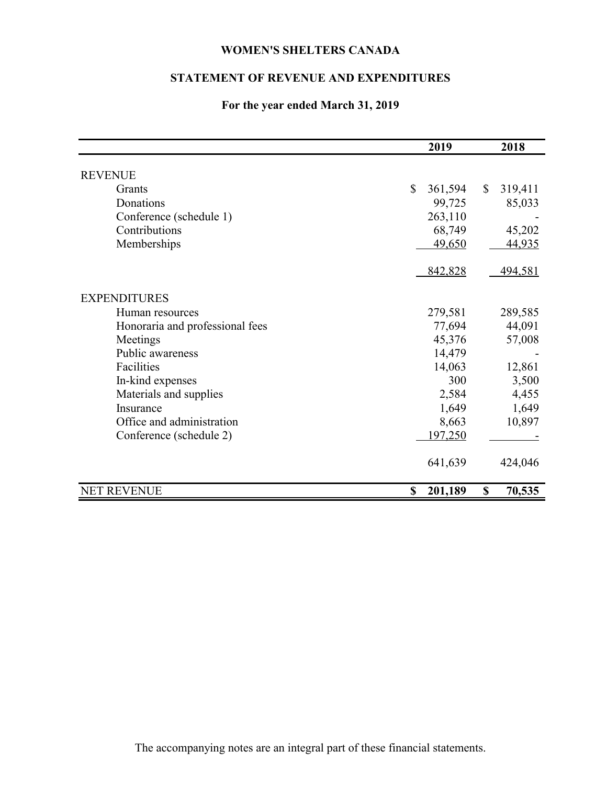# **STATEMENT OF REVENUE AND EXPENDITURES**

# **For the year ended March 31, 2019**

|                                 | 2019                    | 2018                    |
|---------------------------------|-------------------------|-------------------------|
| <b>REVENUE</b>                  |                         |                         |
|                                 |                         |                         |
| Grants                          | $\mathbb{S}$<br>361,594 | 319,411<br>$\mathbb{S}$ |
| Donations                       | 99,725                  | 85,033                  |
| Conference (schedule 1)         | 263,110                 |                         |
| Contributions                   | 68,749                  | 45,202                  |
| Memberships                     | 49,650                  | 44,935                  |
|                                 | 842,828                 | 494,581                 |
| <b>EXPENDITURES</b>             |                         |                         |
| Human resources                 | 279,581                 | 289,585                 |
| Honoraria and professional fees | 77,694                  | 44,091                  |
| Meetings                        | 45,376                  | 57,008                  |
| Public awareness                | 14,479                  |                         |
| Facilities                      | 14,063                  | 12,861                  |
| In-kind expenses                | 300                     | 3,500                   |
| Materials and supplies          | 2,584                   | 4,455                   |
| Insurance                       | 1,649                   | 1,649                   |
| Office and administration       | 8,663                   | 10,897                  |
| Conference (schedule 2)         | 197,250                 |                         |
|                                 |                         |                         |
|                                 | 641,639                 | 424,046                 |
| <b>NET REVENUE</b>              | \$<br>201,189           | \$<br>70,535            |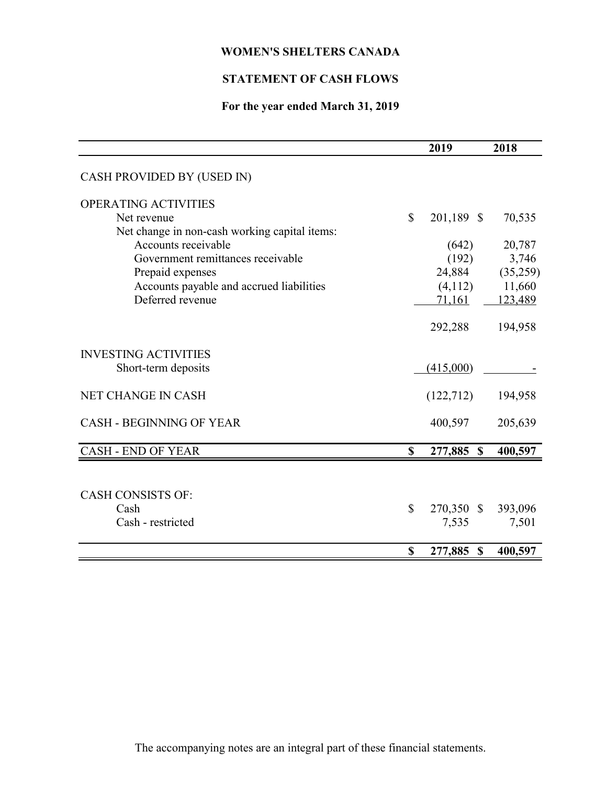# **STATEMENT OF CASH FLOWS**

# **For the year ended March 31, 2019**

|                                               |              | 2019          | 2018     |
|-----------------------------------------------|--------------|---------------|----------|
| CASH PROVIDED BY (USED IN)                    |              |               |          |
|                                               |              |               |          |
| <b>OPERATING ACTIVITIES</b>                   |              |               |          |
| Net revenue                                   | $\mathbb{S}$ | 201,189 \$    | 70,535   |
| Net change in non-cash working capital items: |              |               |          |
| Accounts receivable                           |              | (642)         | 20,787   |
| Government remittances receivable             |              | (192)         | 3,746    |
| Prepaid expenses                              |              | 24,884        | (35,259) |
| Accounts payable and accrued liabilities      |              | (4,112)       | 11,660   |
| Deferred revenue                              |              | 71,161        | 123,489  |
|                                               |              | 292,288       | 194,958  |
|                                               |              |               |          |
| <b>INVESTING ACTIVITIES</b>                   |              |               |          |
| Short-term deposits                           |              | (415,000)     |          |
| <b>NET CHANGE IN CASH</b>                     |              | (122, 712)    | 194,958  |
| <b>CASH - BEGINNING OF YEAR</b>               |              | 400,597       | 205,639  |
|                                               |              |               |          |
| <b>CASH - END OF YEAR</b>                     | \$           | 277,885 \$    | 400,597  |
|                                               |              |               |          |
|                                               |              |               |          |
| <b>CASH CONSISTS OF:</b>                      |              |               |          |
| Cash                                          | $\mathbb{S}$ | 270,350 \$    | 393,096  |
| Cash - restricted                             |              | 7,535         | 7,501    |
|                                               | \$           | 277,885<br>\$ | 400,597  |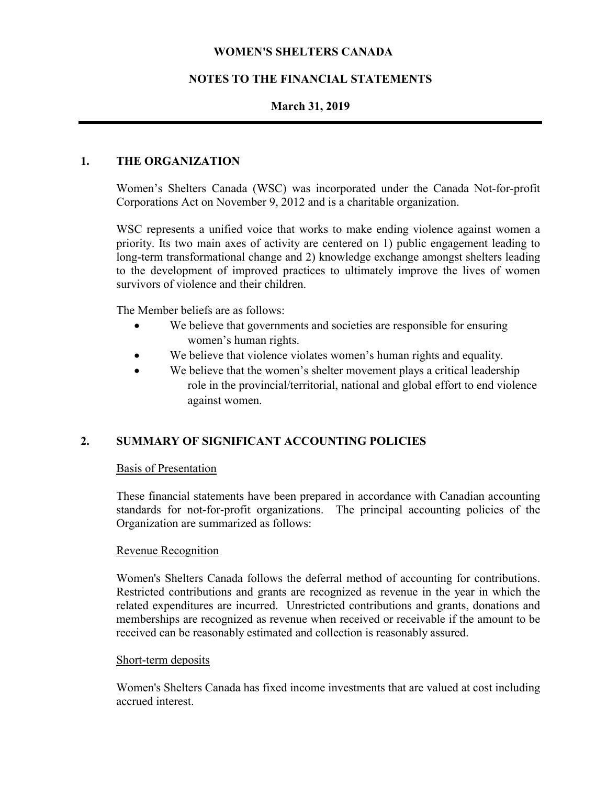### **NOTES TO THE FINANCIAL STATEMENTS**

## **March 31, 2019**

#### **1. THE ORGANIZATION**

Women's Shelters Canada (WSC) was incorporated under the Canada Not-for-profit Corporations Act on November 9, 2012 and is a charitable organization.

WSC represents a unified voice that works to make ending violence against women a priority. Its two main axes of activity are centered on 1) public engagement leading to long-term transformational change and 2) knowledge exchange amongst shelters leading to the development of improved practices to ultimately improve the lives of women survivors of violence and their children.

The Member beliefs are as follows:

- We believe that governments and societies are responsible for ensuring women's human rights.
- We believe that violence violates women's human rights and equality.
- We believe that the women's shelter movement plays a critical leadership role in the provincial/territorial, national and global effort to end violence against women.

## **2. SUMMARY OF SIGNIFICANT ACCOUNTING POLICIES**

#### Basis of Presentation

These financial statements have been prepared in accordance with Canadian accounting standards for not-for-profit organizations. The principal accounting policies of the Organization are summarized as follows:

#### Revenue Recognition

Women's Shelters Canada follows the deferral method of accounting for contributions. Restricted contributions and grants are recognized as revenue in the year in which the related expenditures are incurred. Unrestricted contributions and grants, donations and memberships are recognized as revenue when received or receivable if the amount to be received can be reasonably estimated and collection is reasonably assured.

#### Short-term deposits

Women's Shelters Canada has fixed income investments that are valued at cost including accrued interest.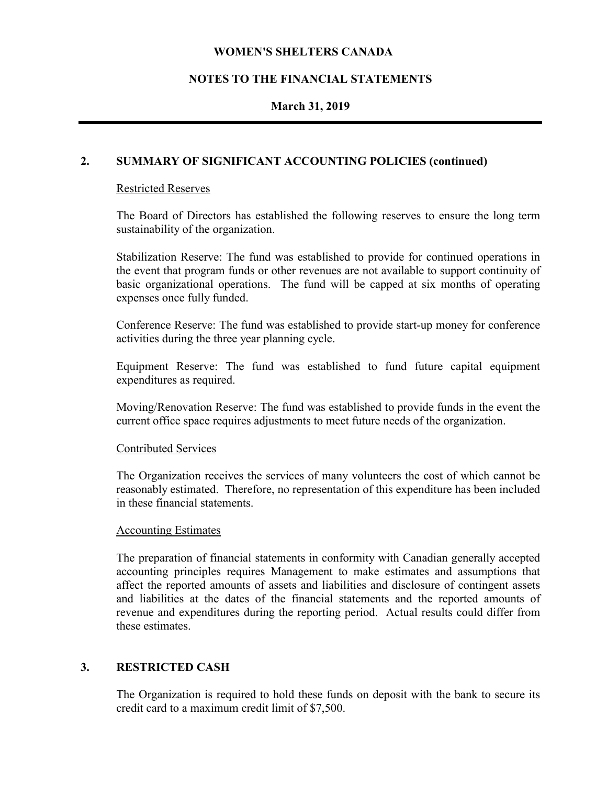### **NOTES TO THE FINANCIAL STATEMENTS**

### **March 31, 2019**

### **2. SUMMARY OF SIGNIFICANT ACCOUNTING POLICIES (continued)**

#### Restricted Reserves

The Board of Directors has established the following reserves to ensure the long term sustainability of the organization.

Stabilization Reserve: The fund was established to provide for continued operations in the event that program funds or other revenues are not available to support continuity of basic organizational operations. The fund will be capped at six months of operating expenses once fully funded.

Conference Reserve: The fund was established to provide start-up money for conference activities during the three year planning cycle.

Equipment Reserve: The fund was established to fund future capital equipment expenditures as required.

Moving/Renovation Reserve: The fund was established to provide funds in the event the current office space requires adjustments to meet future needs of the organization.

#### Contributed Services

The Organization receives the services of many volunteers the cost of which cannot be reasonably estimated. Therefore, no representation of this expenditure has been included in these financial statements.

#### Accounting Estimates

The preparation of financial statements in conformity with Canadian generally accepted accounting principles requires Management to make estimates and assumptions that affect the reported amounts of assets and liabilities and disclosure of contingent assets and liabilities at the dates of the financial statements and the reported amounts of revenue and expenditures during the reporting period. Actual results could differ from these estimates.

#### **3. RESTRICTED CASH**

The Organization is required to hold these funds on deposit with the bank to secure its credit card to a maximum credit limit of \$7,500.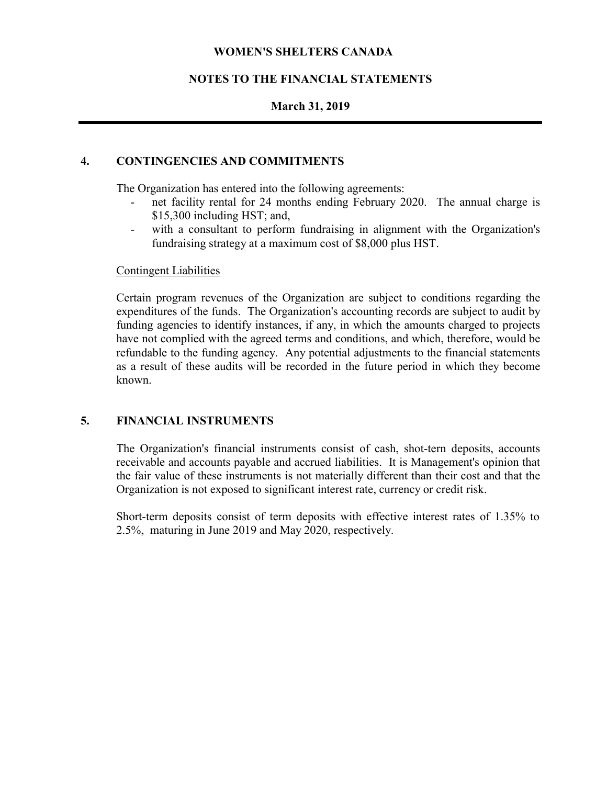### **NOTES TO THE FINANCIAL STATEMENTS**

### **March 31, 2019**

### **4. CONTINGENCIES AND COMMITMENTS**

The Organization has entered into the following agreements:

- net facility rental for 24 months ending February 2020. The annual charge is \$15,300 including HST; and,
- with a consultant to perform fundraising in alignment with the Organization's fundraising strategy at a maximum cost of \$8,000 plus HST.

#### Contingent Liabilities

Certain program revenues of the Organization are subject to conditions regarding the expenditures of the funds. The Organization's accounting records are subject to audit by funding agencies to identify instances, if any, in which the amounts charged to projects have not complied with the agreed terms and conditions, and which, therefore, would be refundable to the funding agency. Any potential adjustments to the financial statements as a result of these audits will be recorded in the future period in which they become known.

### **5. FINANCIAL INSTRUMENTS**

The Organization's financial instruments consist of cash, shot-tern deposits, accounts receivable and accounts payable and accrued liabilities. It is Management's opinion that the fair value of these instruments is not materially different than their cost and that the Organization is not exposed to significant interest rate, currency or credit risk.

Short-term deposits consist of term deposits with effective interest rates of 1.35% to 2.5%, maturing in June 2019 and May 2020, respectively.